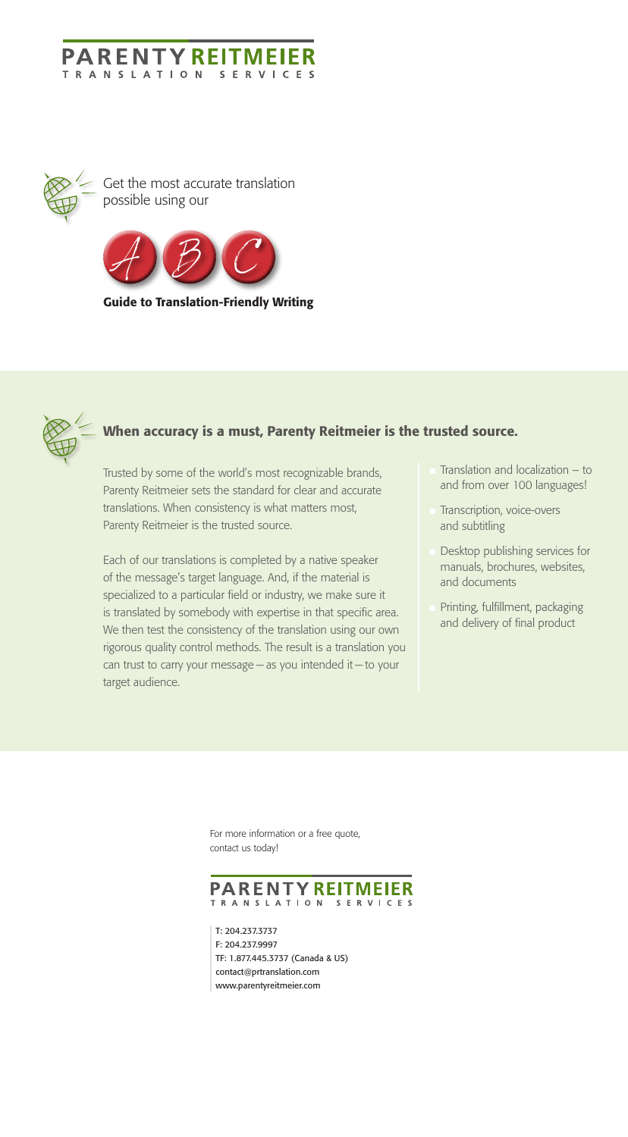Trusted by some of the world's most recognizable brands, Parenty Reitmeier sets the standard for clear and accurate translations. When consistency is what matters most, Parenty Reitmeier is the trusted source.

Each of our translations is completed by a native speaker of the message's target language. And, if the material is specialized to a particular field or industry, we make sure it is translated by somebody with expertise in that specific area. We then test the consistency of the translation using our own rigorous quality control methods. The result is a translation you can trust to carry your message — as you intended it — to your target audience.

- Translation and localization  $-$  to and from over 100 languages!
- Transcription, voice-overs and subtitling
- Desktop publishing services for manuals, brochures, websites, and documents
- Printing, fulfillment, packaging and delivery of final product

# PARENTY REITMEIER **TRANSLATION**

T: 204.237.3737 F: 204.237.9997 TF: 1.877.445.3737 (Canada & US) contact@prtranslation.com www.parentyreitmeier.com

# When accuracy is a must, Parenty Reitmeier is the trusted source.

#### **PARENTY REITMEI TRANSLATION SERVICES**



Get the most accurate translation possible using our



Guide to Translation-Friendly Writing